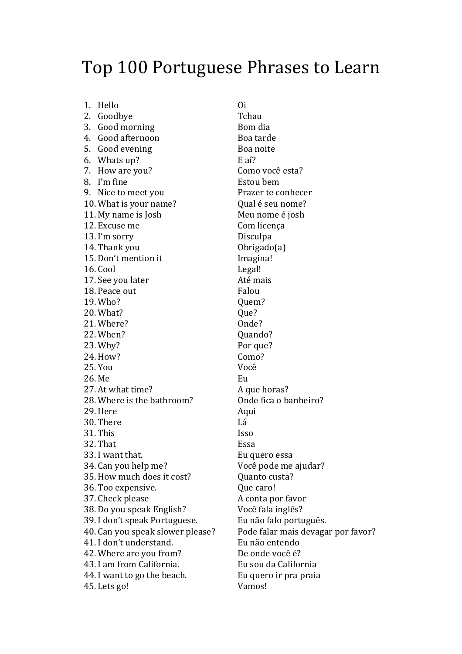## Top 100 Portuguese Phrases to Learn

1. Hello 2. Goodbye 3. Good morning 4. Good afternoon 5. Good evening 6. Whats up? 7. How are you? 8. I'm fine 9. Nice to meet you 10. What is your name? 11. My name is Josh 12. Excuse me 13. I'm sorry 14. Thank you 15. Don't mention it 16. Cool 17. See you later 18. Peace out 19. Who? 20. What? 21. Where? 22. When? 23. Why? 24. How? 25. You 26. Me 27. At what time? 28. Where is the bathroom? 29. Here 30. There 31. This 32. That 33. I want that. 34. Can vou help me? 35. How much does it cost? 36. Too expensive. 37. Check please 38. Do you speak English? 39. I don't speak Portuguese. 40. Can you speak slower please? 41. I don't understand. 42. Where are you from? 43. I am from California. 44. I want to go the beach. 45. Lets go!

 $O<sub>i</sub>$ Tchau Bom dia Boa tarde Boa noite  $E<sub>a</sub>$ í? Como você esta? Estou bem Prazer te conhecer Qual é seu nome? Meu nome é josh Com licenca Disculpa Obrigado $(a)$ Imagina! Legal! Até mais Falou Ouem? Oue? Onde? Ouando? Por que? Como? Você Eu A que horas? Onde fica o banheiro? Aqui Lá **Isso** Essa Eu quero essa Você pode me ajudar? Ouanto custa? Oue caro! A conta por favor Você fala inglês? Eu não falo português. Pode falar mais devagar por favor? Eu não entendo De onde você é? Eu sou da California Eu quero ir pra praia Vamos!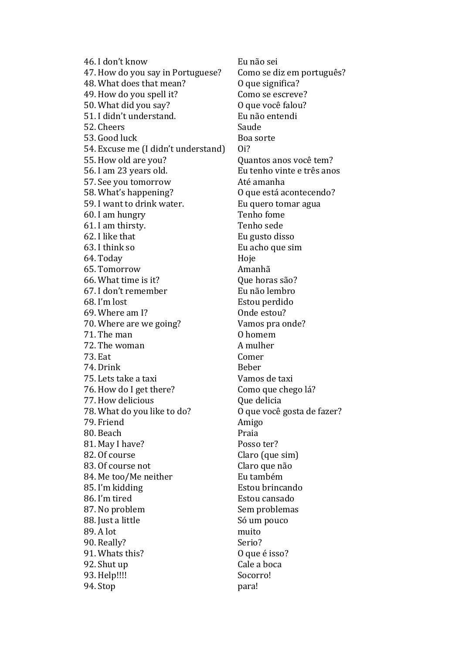46. I don't know 47. How do you say in Portuguese? 48. What does that mean? 49. How do you spell it? 50. What did you say? 51. I didn't understand. 52. Cheers 53. Good luck 54. Excuse me (I didn't understand) 55. How old are you? 56. I am 23 years old. 57. See you tomorrow 58. What's happening? 59. I want to drink water. 60. I am hungry 61. I am thirsty. 62. I like that 63. I think so 64. Today 65. Tomorrow 66. What time is it? 67. I don't remember 68. I'm lost 69. Where am I? 70. Where are we going? 71. The man 72. The woman **73. Eat** 74. Drink 75. Lets take a taxi 76. How do I get there? 77. How delicious 78. What do you like to do? 79. Friend 80. Beach 81. May I have? 82. Of course 83. Of course not 84. Me too/Me neither 85. I'm kidding 86. I'm tired 87. No problem 88. Just a little 89. A lot 90. Really? 91. Whats this? 92. Shut up 93. Help!!!! 94. Stop

Eu não sei Como se diz em português? O que significa? Como se escreve? O que você falou? Eu não entendi Saude Boa sorte  $O<sub>i</sub>$ ? Quantos anos você tem? Eu tenho vinte e três anos Até amanha O que está acontecendo? Eu quero tomar agua Tenho fome Tenho sede Eu gusto disso Eu acho que sim Hoje Amanhã Oue horas são? Eu não lembro Estou perdido Onde estou? Vamos pra onde? 0 homem A mulher Comer **Reher** Vamos de taxi Como que chego lá? Que delicia O que você gosta de fazer? Amigo Praia Posso ter? Claro (que sim) Claro que não Eu também Estou brincando Estou cansado Sem problemas Só um pouco muito Serio? O que é isso? Cale a boca Socorro! para!